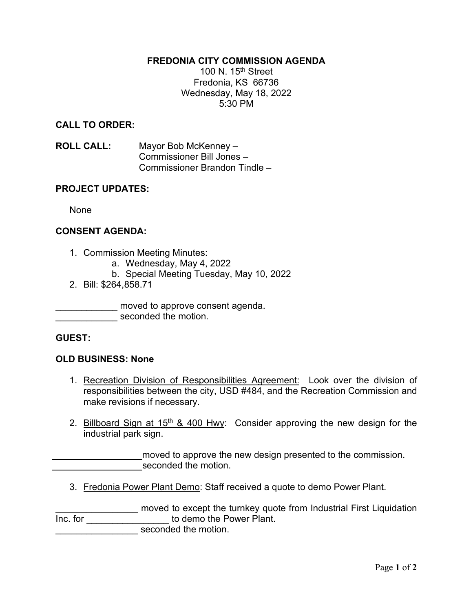#### **FREDONIA CITY COMMISSION AGENDA**

100 N.  $15<sup>th</sup>$  Street Fredonia, KS 66736 Wednesday, May 18, 2022 5:30 PM

#### **CALL TO ORDER:**

**ROLL CALL:** Mayor Bob McKenney – Commissioner Bill Jones – Commissioner Brandon Tindle –

#### **PROJECT UPDATES:**

None

## **CONSENT AGENDA:**

- 1. Commission Meeting Minutes:
	- a. Wednesday, May 4, 2022
	- b. Special Meeting Tuesday, May 10, 2022
- 2. Bill: \$264,858.71

\_\_\_\_\_\_\_\_\_\_\_\_ moved to approve consent agenda.

seconded the motion.

#### **GUEST:**

#### **OLD BUSINESS: None**

- 1. Recreation Division of Responsibilities Agreement: Look over the division of responsibilities between the city, USD #484, and the Recreation Commission and make revisions if necessary.
- 2. Billboard Sign at 15<sup>th</sup> & 400 Hwy: Consider approving the new design for the industrial park sign.

moved to approve the new design presented to the commission. seconded the motion.

3. Fredonia Power Plant Demo: Staff received a quote to demo Power Plant.

\_\_\_\_\_\_\_\_\_\_\_\_\_\_\_\_ moved to except the turnkey quote from Industrial First Liquidation Inc. for **contract the Following Contract of the Fower Plant.** seconded the motion.